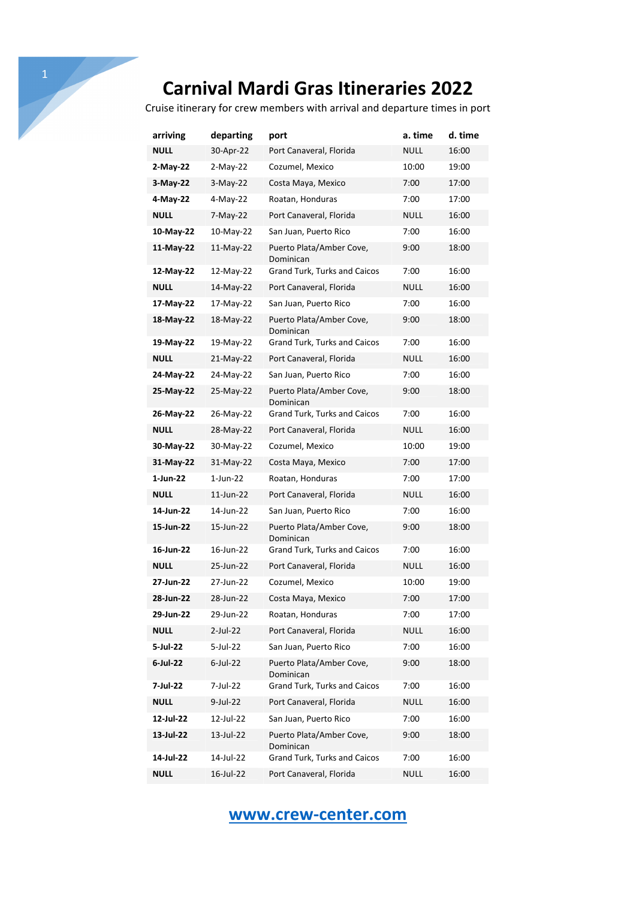# **Carnival Mardi Gras Itineraries 2022**

Cruise itinerary for crew members with arrival and departure times in port

| arriving    | departing   | port                                  | a. time     | d. time |
|-------------|-------------|---------------------------------------|-------------|---------|
| <b>NULL</b> | 30-Apr-22   | Port Canaveral, Florida               | <b>NULL</b> | 16:00   |
| 2-May-22    | $2-May-22$  | Cozumel, Mexico                       | 10:00       | 19:00   |
| 3-May-22    | $3-May-22$  | Costa Maya, Mexico                    | 7:00        | 17:00   |
| 4-May-22    | 4-May-22    | Roatan, Honduras                      | 7:00        | 17:00   |
| <b>NULL</b> | 7-May-22    | Port Canaveral, Florida               | NULL        | 16:00   |
| 10-May-22   | 10-May-22   | San Juan, Puerto Rico                 | 7:00        | 16:00   |
| 11-May-22   | $11-May-22$ | Puerto Plata/Amber Cove,<br>Dominican | 9:00        | 18:00   |
| 12-May-22   | 12-May-22   | Grand Turk, Turks and Caicos          | 7:00        | 16:00   |
| <b>NULL</b> | 14-May-22   | Port Canaveral, Florida               | NULL        | 16:00   |
| 17-May-22   | 17-May-22   | San Juan, Puerto Rico                 | 7:00        | 16:00   |
| 18-May-22   | 18-May-22   | Puerto Plata/Amber Cove,<br>Dominican | 9:00        | 18:00   |
| 19-May-22   | 19-May-22   | Grand Turk, Turks and Caicos          | 7:00        | 16:00   |
| <b>NULL</b> | 21-May-22   | Port Canaveral, Florida               | NULL        | 16:00   |
| 24-May-22   | 24-May-22   | San Juan, Puerto Rico                 | 7:00        | 16:00   |
| 25-May-22   | 25-May-22   | Puerto Plata/Amber Cove,<br>Dominican | 9:00        | 18:00   |
| 26-May-22   | 26-May-22   | <b>Grand Turk, Turks and Caicos</b>   | 7:00        | 16:00   |
| <b>NULL</b> | 28-May-22   | Port Canaveral, Florida               | <b>NULL</b> | 16:00   |
| 30-May-22   | 30-May-22   | Cozumel, Mexico                       | 10:00       | 19:00   |
| 31-May-22   | 31-May-22   | Costa Maya, Mexico                    | 7:00        | 17:00   |
| 1-Jun-22    | 1-Jun-22    | Roatan, Honduras                      | 7:00        | 17:00   |
| <b>NULL</b> | 11-Jun-22   | Port Canaveral, Florida               | NULL        | 16:00   |
| 14-Jun-22   | 14-Jun-22   | San Juan, Puerto Rico                 | 7:00        | 16:00   |
| 15-Jun-22   | 15-Jun-22   | Puerto Plata/Amber Cove,<br>Dominican | 9:00        | 18:00   |
| 16-Jun-22   | 16-Jun-22   | Grand Turk, Turks and Caicos          | 7:00        | 16:00   |
| <b>NULL</b> | 25-Jun-22   | Port Canaveral, Florida               | NULL        | 16:00   |
| 27-Jun-22   | 27-Jun-22   | Cozumel, Mexico                       | 10:00       | 19:00   |
| 28-Jun-22   | 28-Jun-22   | Costa Maya, Mexico                    | 7:00        | 17:00   |
| 29-Jun-22   | 29-Jun-22   | Roatan, Honduras                      | 7:00        | 17:00   |
| <b>NULL</b> | $2$ -Jul-22 | Port Canaveral, Florida               | <b>NULL</b> | 16:00   |
| 5-Jul-22    | 5-Jul-22    | San Juan, Puerto Rico                 | 7:00        | 16:00   |
| 6-Jul-22    | $6$ -Jul-22 | Puerto Plata/Amber Cove,<br>Dominican | 9:00        | 18:00   |
| 7-Jul-22    | 7-Jul-22    | <b>Grand Turk, Turks and Caicos</b>   | 7:00        | 16:00   |
| <b>NULL</b> | 9-Jul-22    | Port Canaveral, Florida               | <b>NULL</b> | 16:00   |
| 12-Jul-22   | 12-Jul-22   | San Juan, Puerto Rico                 | 7:00        | 16:00   |
| 13-Jul-22   | 13-Jul-22   | Puerto Plata/Amber Cove,<br>Dominican | 9:00        | 18:00   |
| 14-Jul-22   | 14-Jul-22   | Grand Turk, Turks and Caicos          | 7:00        | 16:00   |
| <b>NULL</b> | 16-Jul-22   | Port Canaveral, Florida               | <b>NULL</b> | 16:00   |

### **www.crew-center.com**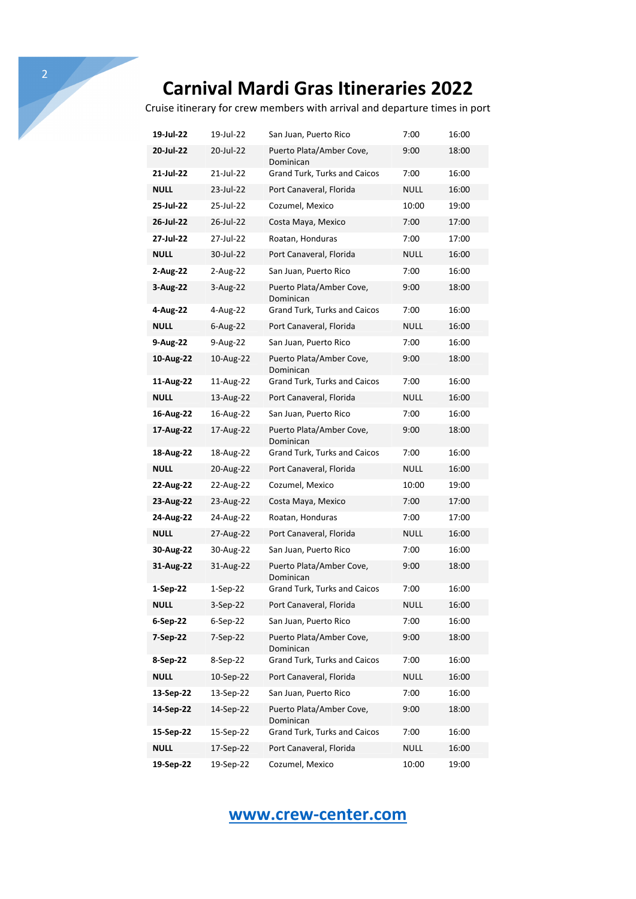## **Carnival Mardi Gras Itineraries 2022**

Cruise itinerary for crew members with arrival and departure times in port

| 19-Jul-22   | 19-Jul-22   | San Juan, Puerto Rico                 | 7:00        | 16:00 |
|-------------|-------------|---------------------------------------|-------------|-------|
| 20-Jul-22   | 20-Jul-22   | Puerto Plata/Amber Cove,<br>Dominican | 9:00        | 18:00 |
| 21-Jul-22   | 21-Jul-22   | Grand Turk, Turks and Caicos          | 7:00        | 16:00 |
| <b>NULL</b> | 23-Jul-22   | Port Canaveral, Florida               | <b>NULL</b> | 16:00 |
| 25-Jul-22   | 25-Jul-22   | Cozumel, Mexico                       | 10:00       | 19:00 |
| 26-Jul-22   | 26-Jul-22   | Costa Maya, Mexico                    | 7:00        | 17:00 |
| 27-Jul-22   | 27-Jul-22   | Roatan, Honduras                      | 7:00        | 17:00 |
| <b>NULL</b> | 30-Jul-22   | Port Canaveral, Florida               | NULL        | 16:00 |
| 2-Aug-22    | 2-Aug-22    | San Juan, Puerto Rico                 | 7:00        | 16:00 |
| 3-Aug-22    | 3-Aug-22    | Puerto Plata/Amber Cove,<br>Dominican | 9:00        | 18:00 |
| 4-Aug-22    | 4-Aug-22    | Grand Turk, Turks and Caicos          | 7:00        | 16:00 |
| NULL        | $6$ -Aug-22 | Port Canaveral, Florida               | <b>NULL</b> | 16:00 |
| 9-Aug-22    | 9-Aug-22    | San Juan, Puerto Rico                 | 7:00        | 16:00 |
| 10-Aug-22   | 10-Aug-22   | Puerto Plata/Amber Cove,<br>Dominican | 9:00        | 18:00 |
| 11-Aug-22   | 11-Aug-22   | Grand Turk, Turks and Caicos          | 7:00        | 16:00 |
| <b>NULL</b> | 13-Aug-22   | Port Canaveral, Florida               | <b>NULL</b> | 16:00 |
| 16-Aug-22   | 16-Aug-22   | San Juan, Puerto Rico                 | 7:00        | 16:00 |
| 17-Aug-22   | 17-Aug-22   | Puerto Plata/Amber Cove,<br>Dominican | 9:00        | 18:00 |
| 18-Aug-22   | 18-Aug-22   | Grand Turk, Turks and Caicos          | 7:00        | 16:00 |
| NULL        | 20-Aug-22   | Port Canaveral, Florida               | NULL        | 16:00 |
| 22-Aug-22   | 22-Aug-22   | Cozumel, Mexico                       | 10:00       | 19:00 |
| 23-Aug-22   | 23-Aug-22   | Costa Maya, Mexico                    | 7:00        | 17:00 |
| 24-Aug-22   | 24-Aug-22   | Roatan, Honduras                      | 7:00        | 17:00 |
| <b>NULL</b> | 27-Aug-22   | Port Canaveral, Florida               | NULL        | 16:00 |
| 30-Aug-22   | 30-Aug-22   | San Juan, Puerto Rico                 | 7:00        | 16:00 |
| 31-Aug-22   | 31-Aug-22   | Puerto Plata/Amber Cove,<br>Dominican | 9:00        | 18:00 |
| 1-Sep-22    | 1-Sep-22    | Grand Turk, Turks and Caicos          | 7:00        | 16:00 |
| NULL        | 3-Sep-22    | Port Canaveral, Florida               | <b>NULL</b> | 16:00 |
| 6-Sep-22    | $6-Sep-22$  | San Juan, Puerto Rico                 | 7:00        | 16:00 |
| 7-Sep-22    | 7-Sep-22    | Puerto Plata/Amber Cove,<br>Dominican | 9:00        | 18:00 |
| 8-Sep-22    | 8-Sep-22    | Grand Turk, Turks and Caicos          | 7:00        | 16:00 |
| <b>NULL</b> | 10-Sep-22   | Port Canaveral, Florida               | <b>NULL</b> | 16:00 |
| 13-Sep-22   | 13-Sep-22   | San Juan, Puerto Rico                 | 7:00        | 16:00 |
| 14-Sep-22   | 14-Sep-22   | Puerto Plata/Amber Cove,<br>Dominican | 9:00        | 18:00 |
| 15-Sep-22   | 15-Sep-22   | Grand Turk, Turks and Caicos          | 7:00        | 16:00 |
| <b>NULL</b> | 17-Sep-22   | Port Canaveral, Florida               | <b>NULL</b> | 16:00 |
| 19-Sep-22   | 19-Sep-22   | Cozumel, Mexico                       | 10:00       | 19:00 |

#### **www.crew-center.com**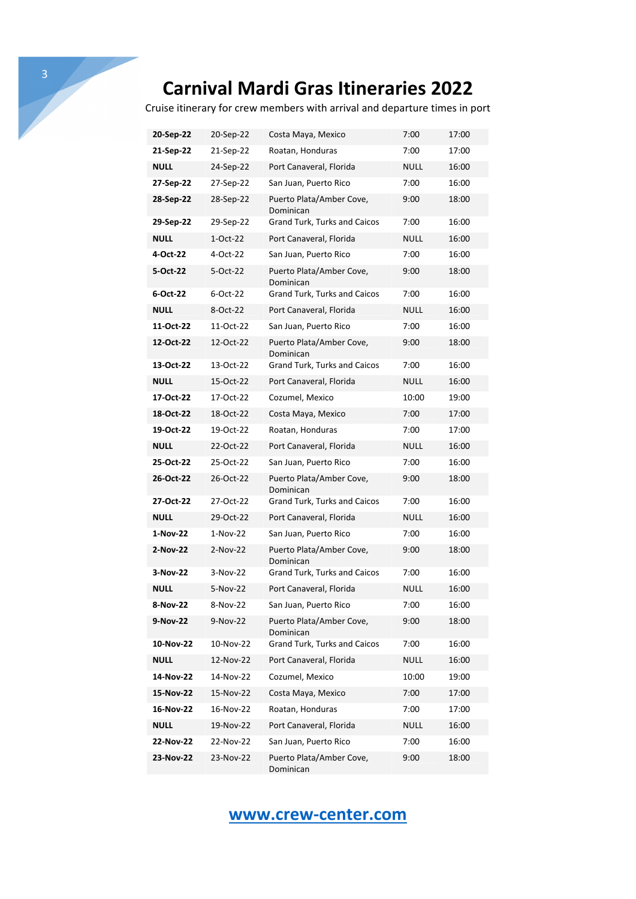# **Carnival Mardi Gras Itineraries 2022**

Cruise itinerary for crew members with arrival and departure times in port

| 20-Sep-22   | 20-Sep-22  | Costa Maya, Mexico                    | 7:00        | 17:00 |
|-------------|------------|---------------------------------------|-------------|-------|
| 21-Sep-22   | 21-Sep-22  | Roatan, Honduras                      | 7:00        | 17:00 |
| <b>NULL</b> | 24-Sep-22  | Port Canaveral, Florida               | <b>NULL</b> | 16:00 |
| 27-Sep-22   | 27-Sep-22  | San Juan, Puerto Rico                 | 7:00        | 16:00 |
| 28-Sep-22   | 28-Sep-22  | Puerto Plata/Amber Cove,<br>Dominican | 9:00        | 18:00 |
| 29-Sep-22   | 29-Sep-22  | Grand Turk, Turks and Caicos          | 7:00        | 16:00 |
| <b>NULL</b> | $1-Oct-22$ | Port Canaveral, Florida               | <b>NULL</b> | 16:00 |
| 4-Oct-22    | 4-Oct-22   | San Juan, Puerto Rico                 | 7:00        | 16:00 |
| 5-Oct-22    | 5-Oct-22   | Puerto Plata/Amber Cove,<br>Dominican | 9:00        | 18:00 |
| 6-Oct-22    | 6-Oct-22   | Grand Turk, Turks and Caicos          | 7:00        | 16:00 |
| <b>NULL</b> | 8-Oct-22   | Port Canaveral, Florida               | <b>NULL</b> | 16:00 |
| 11-Oct-22   | 11-Oct-22  | San Juan, Puerto Rico                 | 7:00        | 16:00 |
| 12-Oct-22   | 12-Oct-22  | Puerto Plata/Amber Cove,<br>Dominican | 9:00        | 18:00 |
| 13-Oct-22   | 13-Oct-22  | <b>Grand Turk, Turks and Caicos</b>   | 7:00        | 16:00 |
| <b>NULL</b> | 15-Oct-22  | Port Canaveral, Florida               | NULL        | 16:00 |
| 17-Oct-22   | 17-Oct-22  | Cozumel, Mexico                       | 10:00       | 19:00 |
| 18-Oct-22   | 18-Oct-22  | Costa Maya, Mexico                    | 7:00        | 17:00 |
| 19-Oct-22   | 19-Oct-22  | Roatan, Honduras                      | 7:00        | 17:00 |
| <b>NULL</b> | 22-Oct-22  | Port Canaveral, Florida               | <b>NULL</b> | 16:00 |
| 25-Oct-22   | 25-Oct-22  | San Juan, Puerto Rico                 | 7:00        | 16:00 |
| 26-Oct-22   | 26-Oct-22  | Puerto Plata/Amber Cove,<br>Dominican | 9:00        | 18:00 |
| 27-Oct-22   | 27-Oct-22  | Grand Turk, Turks and Caicos          | 7:00        | 16:00 |
| <b>NULL</b> | 29-Oct-22  | Port Canaveral, Florida               | <b>NULL</b> | 16:00 |
| 1-Nov-22    | 1-Nov-22   | San Juan, Puerto Rico                 | 7:00        | 16:00 |
| 2-Nov-22    | 2-Nov-22   | Puerto Plata/Amber Cove,<br>Dominican | 9:00        | 18:00 |
| 3-Nov-22    | 3-Nov-22   | Grand Turk, Turks and Caicos          | 7:00        | 16:00 |
| <b>NULL</b> | 5-Nov-22   | Port Canaveral, Florida               | <b>NULL</b> | 16:00 |
| 8-NOV-22    | 8-NOV-22   | San Juan, Puerto Rico                 | 7:00        | 16:00 |
| 9-Nov-22    | 9-Nov-22   | Puerto Plata/Amber Cove,<br>Dominican | 9:00        | 18:00 |
| 10-Nov-22   | 10-Nov-22  | Grand Turk, Turks and Caicos          | 7:00        | 16:00 |
| <b>NULL</b> | 12-Nov-22  | Port Canaveral, Florida               | <b>NULL</b> | 16:00 |
| 14-Nov-22   | 14-Nov-22  | Cozumel, Mexico                       | 10:00       | 19:00 |
| 15-Nov-22   | 15-Nov-22  | Costa Maya, Mexico                    | 7:00        | 17:00 |
| 16-Nov-22   | 16-Nov-22  | Roatan, Honduras                      | 7:00        | 17:00 |
| <b>NULL</b> | 19-Nov-22  | Port Canaveral, Florida               | <b>NULL</b> | 16:00 |
| 22-Nov-22   | 22-Nov-22  | San Juan, Puerto Rico                 | 7:00        | 16:00 |
| 23-Nov-22   | 23-Nov-22  | Puerto Plata/Amber Cove,<br>Dominican | 9:00        | 18:00 |

#### **www.crew-center.com**